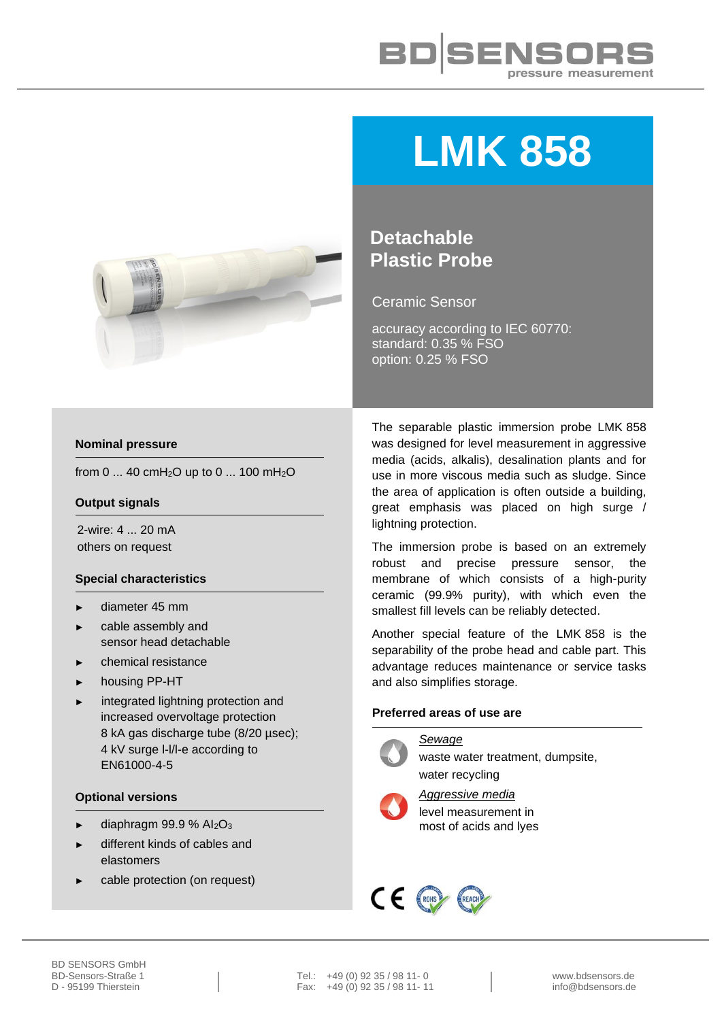



# **LMK 858**

# **Detachable Plastic Probe**

Ceramic Sensor

accuracy according to IEC 60770: standard: 0.35 % FSO option: 0.25 % FSO

## **Nominal pressure**

from 0 ... 40 cmH<sub>2</sub>O up to 0 ... 100 mH<sub>2</sub>O

### **Output signals**

2-wire: 4 ... 20 mA others on request

## **Special characteristics**

- ► diameter 45 mm
- cable assembly and sensor head detachable
- ► chemical resistance
- housing PP-HT
- integrated lightning protection and increased overvoltage protection 8 kA gas discharge tube (8/20 µsec); 4 kV surge l-l/l-e according to EN61000-4-5

#### **Optional versions**

- diaphragm 99.9 %  $Al_2O_3$
- different kinds of cables and elastomers
- cable protection (on request)

The separable plastic immersion probe LMK 858 was designed for level measurement in aggressive media (acids, alkalis), desalination plants and for use in more viscous media such as sludge. Since the area of application is often outside a building, great emphasis was placed on high surge / lightning protection.

The immersion probe is based on an extremely robust and precise pressure sensor, the membrane of which consists of a high-purity ceramic (99.9% purity), with which even the smallest fill levels can be reliably detected.

Another special feature of the LMK 858 is the separability of the probe head and cable part. This advantage reduces maintenance or service tasks and also simplifies storage.

## **Preferred areas of use are**

#### *Sewage*



waste water treatment, dumpsite, water recycling



*Aggressive media* level measurement in most of acids and lyes

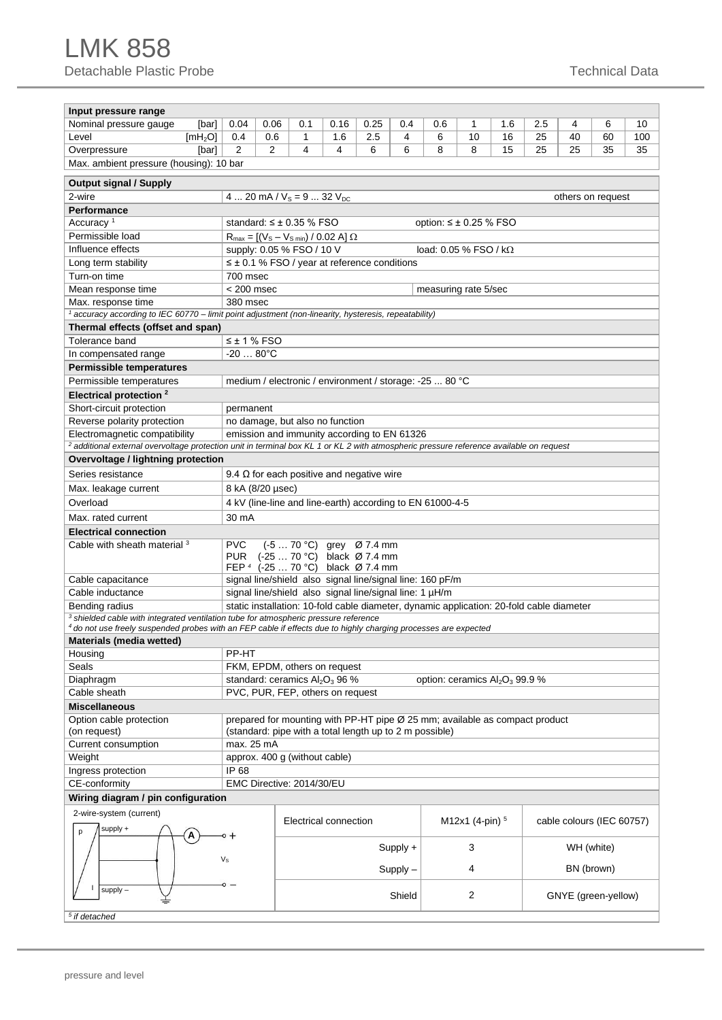| Input pressure range                                                                                                                     |                                                                                                                                                                                                                                    |                                                                                                                                                      |     |                       |                                                                                          |          |     |                   |     |            |            |                           |     |  |  |
|------------------------------------------------------------------------------------------------------------------------------------------|------------------------------------------------------------------------------------------------------------------------------------------------------------------------------------------------------------------------------------|------------------------------------------------------------------------------------------------------------------------------------------------------|-----|-----------------------|------------------------------------------------------------------------------------------|----------|-----|-------------------|-----|------------|------------|---------------------------|-----|--|--|
| Nominal pressure gauge<br>[bar]                                                                                                          | 0.04                                                                                                                                                                                                                               | 0.06                                                                                                                                                 | 0.1 | 0.16                  | 0.25                                                                                     | 0.4      | 0.6 | 1                 | 1.6 | 2.5        | 4          | 6                         | 10  |  |  |
| Level<br>[mH <sub>2</sub> O]                                                                                                             | 0.4                                                                                                                                                                                                                                | 0.6                                                                                                                                                  | 1   | 1.6                   | 2.5                                                                                      | 4        | 6   | 10                | 16  | 25         | 40         | 60                        | 100 |  |  |
| Overpressure<br>[bar]                                                                                                                    | 2                                                                                                                                                                                                                                  | 2                                                                                                                                                    | 4   | 4                     | 6                                                                                        | 6        | 8   | 8                 | 15  | 25         | 25         | 35                        | 35  |  |  |
| Max. ambient pressure (housing): 10 bar                                                                                                  |                                                                                                                                                                                                                                    |                                                                                                                                                      |     |                       |                                                                                          |          |     |                   |     |            |            |                           |     |  |  |
|                                                                                                                                          |                                                                                                                                                                                                                                    |                                                                                                                                                      |     |                       |                                                                                          |          |     |                   |     |            |            |                           |     |  |  |
| <b>Output signal / Supply</b>                                                                                                            |                                                                                                                                                                                                                                    |                                                                                                                                                      |     |                       |                                                                                          |          |     |                   |     |            |            |                           |     |  |  |
| 2-wire                                                                                                                                   | 4  20 mA / $V_s = 9$ 32 $V_{DC}$<br>others on request                                                                                                                                                                              |                                                                                                                                                      |     |                       |                                                                                          |          |     |                   |     |            |            |                           |     |  |  |
| Performance                                                                                                                              | Accuracy <sup>1</sup><br>standard: $\leq \pm 0.35$ % FSO<br>option: $\leq \pm 0.25$ % FSO                                                                                                                                          |                                                                                                                                                      |     |                       |                                                                                          |          |     |                   |     |            |            |                           |     |  |  |
|                                                                                                                                          |                                                                                                                                                                                                                                    |                                                                                                                                                      |     |                       |                                                                                          |          |     |                   |     |            |            |                           |     |  |  |
| Permissible load<br>Influence effects                                                                                                    |                                                                                                                                                                                                                                    | $R_{\text{max}} = [(V_{\text{S}} - V_{\text{S min}}) / 0.02 \text{ A}] \Omega$<br>supply: 0.05 % FSO / 10 V<br>load: $0.05\%$ FSO / k $\Omega$       |     |                       |                                                                                          |          |     |                   |     |            |            |                           |     |  |  |
|                                                                                                                                          |                                                                                                                                                                                                                                    | $\leq \pm 0.1$ % FSO / year at reference conditions                                                                                                  |     |                       |                                                                                          |          |     |                   |     |            |            |                           |     |  |  |
| Long term stability                                                                                                                      |                                                                                                                                                                                                                                    |                                                                                                                                                      |     |                       |                                                                                          |          |     |                   |     |            |            |                           |     |  |  |
| Turn-on time                                                                                                                             |                                                                                                                                                                                                                                    | 700 msec                                                                                                                                             |     |                       |                                                                                          |          |     |                   |     |            |            |                           |     |  |  |
| Mean response time                                                                                                                       |                                                                                                                                                                                                                                    | $< 200$ msec<br>measuring rate 5/sec                                                                                                                 |     |                       |                                                                                          |          |     |                   |     |            |            |                           |     |  |  |
| Max. response time                                                                                                                       |                                                                                                                                                                                                                                    | 380 msec                                                                                                                                             |     |                       |                                                                                          |          |     |                   |     |            |            |                           |     |  |  |
| accuracy according to IEC 60770 - limit point adjustment (non-linearity, hysteresis, repeatability)<br>Thermal effects (offset and span) |                                                                                                                                                                                                                                    |                                                                                                                                                      |     |                       |                                                                                          |          |     |                   |     |            |            |                           |     |  |  |
| Tolerance band                                                                                                                           | $\leq$ ± 1 % FSO                                                                                                                                                                                                                   |                                                                                                                                                      |     |                       |                                                                                          |          |     |                   |     |            |            |                           |     |  |  |
| In compensated range                                                                                                                     | $-2080^{\circ}$ C                                                                                                                                                                                                                  |                                                                                                                                                      |     |                       |                                                                                          |          |     |                   |     |            |            |                           |     |  |  |
| <b>Permissible temperatures</b>                                                                                                          |                                                                                                                                                                                                                                    |                                                                                                                                                      |     |                       |                                                                                          |          |     |                   |     |            |            |                           |     |  |  |
|                                                                                                                                          |                                                                                                                                                                                                                                    |                                                                                                                                                      |     |                       |                                                                                          |          |     |                   |     |            |            |                           |     |  |  |
| Permissible temperatures<br>medium / electronic / environment / storage: -25  80 °C                                                      |                                                                                                                                                                                                                                    |                                                                                                                                                      |     |                       |                                                                                          |          |     |                   |     |            |            |                           |     |  |  |
| Electrical protection <sup>2</sup>                                                                                                       |                                                                                                                                                                                                                                    |                                                                                                                                                      |     |                       |                                                                                          |          |     |                   |     |            |            |                           |     |  |  |
| Short-circuit protection<br>Reverse polarity protection                                                                                  |                                                                                                                                                                                                                                    | permanent                                                                                                                                            |     |                       |                                                                                          |          |     |                   |     |            |            |                           |     |  |  |
|                                                                                                                                          |                                                                                                                                                                                                                                    | no damage, but also no function                                                                                                                      |     |                       |                                                                                          |          |     |                   |     |            |            |                           |     |  |  |
|                                                                                                                                          | Electromagnetic compatibility<br>emission and immunity according to EN 61326<br><sup>2</sup> additional external overvoltage protection unit in terminal box KL 1 or KL 2 with atmospheric pressure reference available on request |                                                                                                                                                      |     |                       |                                                                                          |          |     |                   |     |            |            |                           |     |  |  |
|                                                                                                                                          |                                                                                                                                                                                                                                    |                                                                                                                                                      |     |                       |                                                                                          |          |     |                   |     |            |            |                           |     |  |  |
| <b>Overvoltage / lightning protection</b><br>Series resistance                                                                           |                                                                                                                                                                                                                                    |                                                                                                                                                      |     |                       |                                                                                          |          |     |                   |     |            |            |                           |     |  |  |
|                                                                                                                                          |                                                                                                                                                                                                                                    | 9.4 $\Omega$ for each positive and negative wire                                                                                                     |     |                       |                                                                                          |          |     |                   |     |            |            |                           |     |  |  |
| Max. leakage current                                                                                                                     |                                                                                                                                                                                                                                    | 8 kA (8/20 µsec)                                                                                                                                     |     |                       |                                                                                          |          |     |                   |     |            |            |                           |     |  |  |
| Overload                                                                                                                                 |                                                                                                                                                                                                                                    | 4 kV (line-line and line-earth) according to EN 61000-4-5                                                                                            |     |                       |                                                                                          |          |     |                   |     |            |            |                           |     |  |  |
| Max. rated current                                                                                                                       | 30 mA                                                                                                                                                                                                                              |                                                                                                                                                      |     |                       |                                                                                          |          |     |                   |     |            |            |                           |     |  |  |
| <b>Electrical connection</b>                                                                                                             |                                                                                                                                                                                                                                    |                                                                                                                                                      |     |                       |                                                                                          |          |     |                   |     |            |            |                           |     |  |  |
| Cable with sheath material <sup>3</sup>                                                                                                  | <b>PVC</b><br><b>PUR</b>                                                                                                                                                                                                           | $(-570 °C)$ grey $\varnothing$ 7.4 mm<br>(-25  70 °C) black Ø 7.4 mm<br>FEP 4 (-25  70 °C) black Ø 7.4 mm                                            |     |                       |                                                                                          |          |     |                   |     |            |            |                           |     |  |  |
| Cable capacitance                                                                                                                        |                                                                                                                                                                                                                                    |                                                                                                                                                      |     |                       | signal line/shield also signal line/signal line: 160 pF/m                                |          |     |                   |     |            |            |                           |     |  |  |
| Cable inductance                                                                                                                         |                                                                                                                                                                                                                                    |                                                                                                                                                      |     |                       | signal line/shield also signal line/signal line: 1 µH/m                                  |          |     |                   |     |            |            |                           |     |  |  |
| Bending radius                                                                                                                           |                                                                                                                                                                                                                                    |                                                                                                                                                      |     |                       | static installation: 10-fold cable diameter, dynamic application: 20-fold cable diameter |          |     |                   |     |            |            |                           |     |  |  |
| <sup>3</sup> shielded cable with integrated ventilation tube for atmospheric pressure reference                                          |                                                                                                                                                                                                                                    |                                                                                                                                                      |     |                       |                                                                                          |          |     |                   |     |            |            |                           |     |  |  |
| 4 do not use freely suspended probes with an FEP cable if effects due to highly charging processes are expected                          |                                                                                                                                                                                                                                    |                                                                                                                                                      |     |                       |                                                                                          |          |     |                   |     |            |            |                           |     |  |  |
| <b>Materials (media wetted)</b>                                                                                                          |                                                                                                                                                                                                                                    |                                                                                                                                                      |     |                       |                                                                                          |          |     |                   |     |            |            |                           |     |  |  |
| Housing                                                                                                                                  | PP-HT                                                                                                                                                                                                                              |                                                                                                                                                      |     |                       |                                                                                          |          |     |                   |     |            |            |                           |     |  |  |
| Seals                                                                                                                                    |                                                                                                                                                                                                                                    | FKM, EPDM, others on request                                                                                                                         |     |                       |                                                                                          |          |     |                   |     |            |            |                           |     |  |  |
| Diaphragm<br>Cable sheath                                                                                                                |                                                                                                                                                                                                                                    | standard: ceramics Al <sub>2</sub> O <sub>3</sub> 96 %<br>option: ceramics Al <sub>2</sub> O <sub>3</sub> 99.9 %<br>PVC, PUR, FEP, others on request |     |                       |                                                                                          |          |     |                   |     |            |            |                           |     |  |  |
|                                                                                                                                          |                                                                                                                                                                                                                                    |                                                                                                                                                      |     |                       |                                                                                          |          |     |                   |     |            |            |                           |     |  |  |
| <b>Miscellaneous</b>                                                                                                                     |                                                                                                                                                                                                                                    |                                                                                                                                                      |     |                       |                                                                                          |          |     |                   |     |            |            |                           |     |  |  |
| Option cable protection<br>(on request)                                                                                                  |                                                                                                                                                                                                                                    | prepared for mounting with PP-HT pipe Ø 25 mm; available as compact product<br>(standard: pipe with a total length up to 2 m possible)               |     |                       |                                                                                          |          |     |                   |     |            |            |                           |     |  |  |
| Current consumption                                                                                                                      |                                                                                                                                                                                                                                    | max. 25 mA                                                                                                                                           |     |                       |                                                                                          |          |     |                   |     |            |            |                           |     |  |  |
| Weight                                                                                                                                   | approx. 400 g (without cable)                                                                                                                                                                                                      |                                                                                                                                                      |     |                       |                                                                                          |          |     |                   |     |            |            |                           |     |  |  |
| Ingress protection                                                                                                                       | IP 68                                                                                                                                                                                                                              |                                                                                                                                                      |     |                       |                                                                                          |          |     |                   |     |            |            |                           |     |  |  |
| CE-conformity<br>EMC Directive: 2014/30/EU                                                                                               |                                                                                                                                                                                                                                    |                                                                                                                                                      |     |                       |                                                                                          |          |     |                   |     |            |            |                           |     |  |  |
| Wiring diagram / pin configuration                                                                                                       |                                                                                                                                                                                                                                    |                                                                                                                                                      |     |                       |                                                                                          |          |     |                   |     |            |            |                           |     |  |  |
| 2-wire-system (current)<br>supply +<br>p                                                                                                 |                                                                                                                                                                                                                                    |                                                                                                                                                      |     | Electrical connection |                                                                                          |          |     | M12x1 (4-pin) $5$ |     |            |            | cable colours (IEC 60757) |     |  |  |
| A                                                                                                                                        | o +<br>$V_{\rm S}$                                                                                                                                                                                                                 |                                                                                                                                                      |     |                       |                                                                                          | Supply + |     | 3                 |     |            | WH (white) |                           |     |  |  |
|                                                                                                                                          |                                                                                                                                                                                                                                    |                                                                                                                                                      |     |                       |                                                                                          | Supply - |     | 4                 |     | BN (brown) |            |                           |     |  |  |
| $supply -$                                                                                                                               | $\circ$                                                                                                                                                                                                                            |                                                                                                                                                      |     |                       |                                                                                          | Shield   |     | 2                 |     |            |            | GNYE (green-yellow)       |     |  |  |
| $5$ if detached                                                                                                                          |                                                                                                                                                                                                                                    |                                                                                                                                                      |     |                       |                                                                                          |          |     |                   |     |            |            |                           |     |  |  |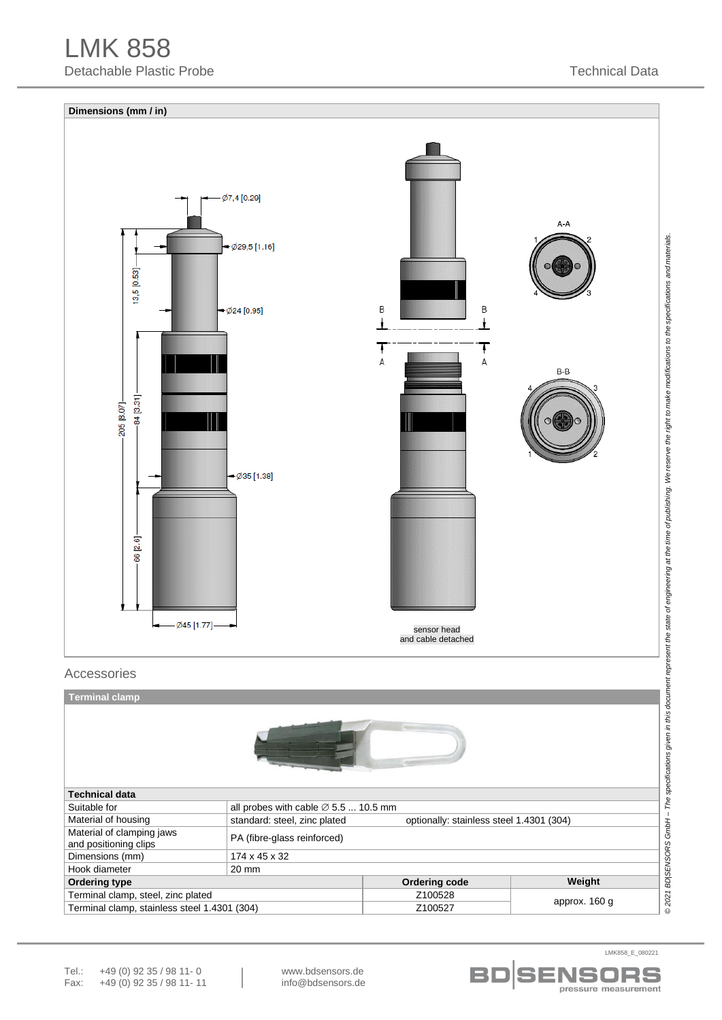# LMK 858 Detachable Plastic Probe Technical Data



| <b>Technical data</b>                              |                                                                          |                                      |        |  |  |  |  |  |  |  |
|----------------------------------------------------|--------------------------------------------------------------------------|--------------------------------------|--------|--|--|--|--|--|--|--|
| Suitable for                                       | all probes with cable $\varnothing$ 5.5  10.5 mm                         |                                      |        |  |  |  |  |  |  |  |
| Material of housing                                | standard: steel, zinc plated<br>optionally: stainless steel 1.4301 (304) |                                      |        |  |  |  |  |  |  |  |
| Material of clamping jaws<br>and positioning clips | PA (fibre-glass reinforced)                                              |                                      |        |  |  |  |  |  |  |  |
| Dimensions (mm)                                    | 174 x 45 x 32                                                            |                                      |        |  |  |  |  |  |  |  |
| Hook diameter                                      | $20 \text{ mm}$                                                          |                                      |        |  |  |  |  |  |  |  |
| Ordering type                                      |                                                                          | Ordering code                        | Weight |  |  |  |  |  |  |  |
| Terminal clamp, steel, zinc plated                 |                                                                          | Z100528                              |        |  |  |  |  |  |  |  |
| Terminal clamp, stainless steel 1.4301 (304)       |                                                                          | approx. 160 g<br>Z <sub>100527</sub> |        |  |  |  |  |  |  |  |